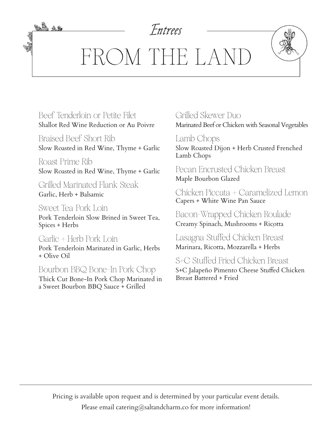

FROM THE LAND

Beef Tenderloin or Petite Filet Shallot Red Wine Reduction or Au Poivre

<u>bà 13</u>

Braised Beef Short Rib Slow Roasted in Red Wine, Thyme + Garlic

Roast Prime Rib Slow Roasted in Red Wine, Thyme + Garlic

Grilled Marinated Flank Steak Garlic, Herb + Balsamic

Sweet Tea Pork Loin

Pork Tenderloin Slow Brined in Sweet Tea, Spices + Herbs

Garlic + Herb Pork Loin Pork Tenderloin Marinated in Garlic, Herbs + Olive Oil

Bourbon BBQ Bone-In Pork Chop

Thick Cut Bone-In Pork Chop Marinated in a Sweet Bourbon BBQ Sauce + Grilled

Grilled Skewer Duo Marinated Beef or Chicken with Seasonal Vegetables

Lamb Chops Slow Roasted Dijon + Herb Crusted Frenched Lamb Chops

Pecan Encrusted Chicken Breast Maple Bourbon Glazed

Chicken Piccata + Caramelized Lemon Capers + White Wine Pan Sauce

Bacon-Wrapped Chicken Roulade Creamy Spinach, Mushrooms + Ricotta

Lasagna Stuffed Chicken Breast Marinara, Ricotta, Mozzarella + Herbs

S+C Stuffed Fried Chicken Breast S+C Jalapeño Pimento Cheese Stuffed Chicken Breast Battered + Fried

Pricing is available upon request and is determined by your particular event details. Please email catering@saltandcharm.co for more information!